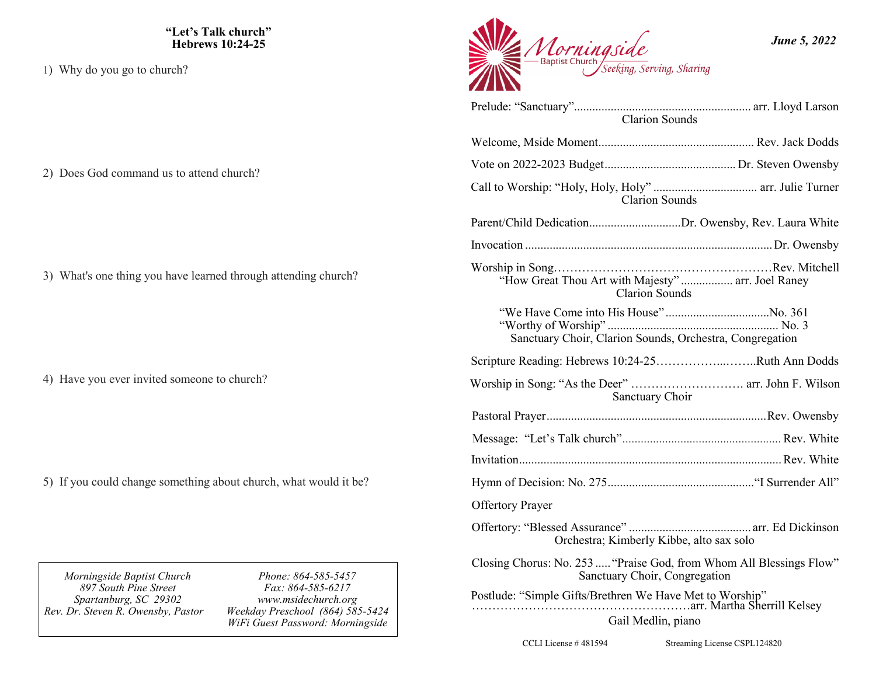**"Let's Talk church" Hebrews 10:24-25**

1) Why do you go to church?

2) Does God command us to attend church?

3) What's one thing you have learned through attending church?

4) Have you ever invited someone to church?

5) If you could change something about church, what would it be?

*Morningside Baptist Church 897 South Pine Street Spartanburg, SC 29302 Rev. Dr. Steven R. Owensby, Pastor* 

*Phone: 864-585-5457 Fax: 864-585-6217 www.msidechurch.org Weekday Preschool (864) 585-5424 WiFi Guest Password: Morningside*



| <b>Clarion Sounds</b>                                                                                |  |  |
|------------------------------------------------------------------------------------------------------|--|--|
|                                                                                                      |  |  |
|                                                                                                      |  |  |
| <b>Clarion Sounds</b>                                                                                |  |  |
| Parent/Child DedicationDr. Owensby, Rev. Laura White                                                 |  |  |
|                                                                                                      |  |  |
| "How Great Thou Art with Majesty"  arr. Joel Raney<br><b>Clarion Sounds</b>                          |  |  |
| Sanctuary Choir, Clarion Sounds, Orchestra, Congregation                                             |  |  |
| Scripture Reading: Hebrews 10:24-25Ruth Ann Dodds                                                    |  |  |
| Worship in Song: "As the Deer"  arr. John F. Wilson<br>Sanctuary Choir                               |  |  |
|                                                                                                      |  |  |
|                                                                                                      |  |  |
|                                                                                                      |  |  |
|                                                                                                      |  |  |
| <b>Offertory Prayer</b>                                                                              |  |  |
| Orchestra; Kimberly Kibbe, alto sax solo                                                             |  |  |
| Closing Chorus: No. 253  "Praise God, from Whom All Blessings Flow"<br>Sanctuary Choir, Congregation |  |  |
|                                                                                                      |  |  |
| Gail Medlin, piano                                                                                   |  |  |

CCLI License # 481594 Streaming License CSPL124820

*June 5, 2022*